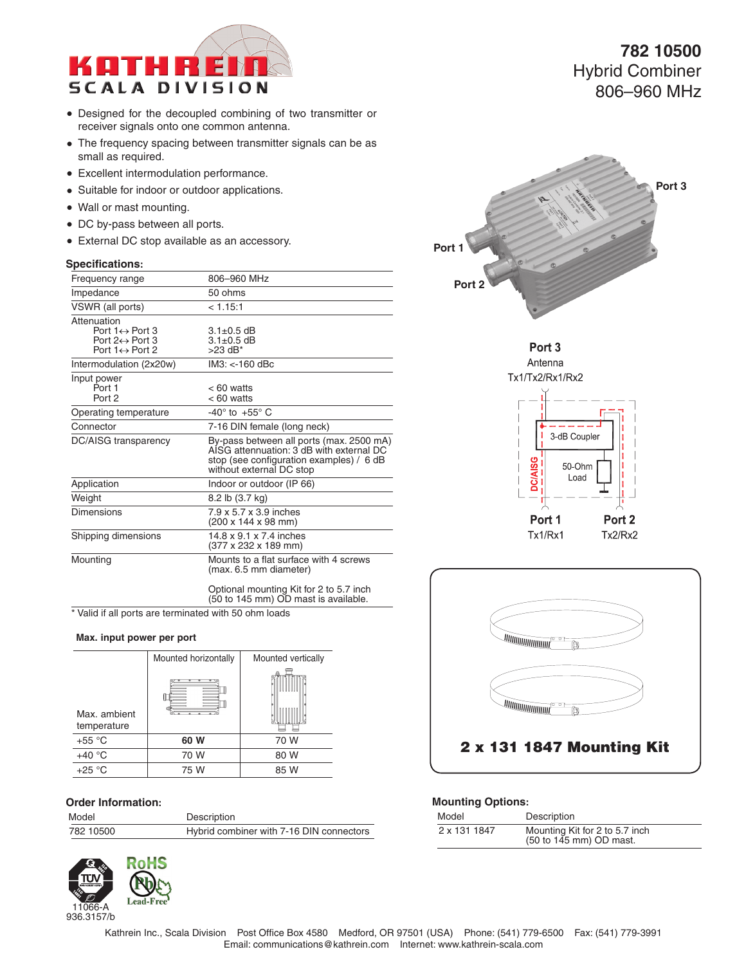

- Designed for the decoupled combining of two transmitter or receiver signals onto one common antenna.
- The frequency spacing between transmitter signals can be as small as required.
- **Excellent intermodulation performance.**
- Suitable for indoor or outdoor applications.
- Wall or mast mounting.
- DC by-pass between all ports.
- External DC stop available as an accessory.

#### **Specifications:**

| Frequency range                                                                                     | 806-960 MHz                                                                                                                                                  |
|-----------------------------------------------------------------------------------------------------|--------------------------------------------------------------------------------------------------------------------------------------------------------------|
| Impedance                                                                                           | 50 ohms                                                                                                                                                      |
| VSWR (all ports)                                                                                    | < 1.15:1                                                                                                                                                     |
| Attenuation<br>Port $1 \leftrightarrow$ Port 3<br>Port 2↔ Port 3<br>Port $1 \leftrightarrow$ Port 2 | $3.1 \pm 0.5$ dB<br>$3.1 \pm 0.5$ dB<br>$>23$ dB <sup>*</sup>                                                                                                |
| Intermodulation (2x20w)                                                                             | $IM3: < 160$ dBc                                                                                                                                             |
| Input power<br>Port 1<br>Port 2                                                                     | < 60 watts<br>$< 60$ watts                                                                                                                                   |
| Operating temperature                                                                               | $-40^\circ$ to $+55^\circ$ C                                                                                                                                 |
| Connector                                                                                           | 7-16 DIN female (long neck)                                                                                                                                  |
| DC/AISG transparency                                                                                | By-pass between all ports (max. 2500 mA)<br>AISG attennuation: 3 dB with external DC<br>stop (see configuration examples) / 6 dB<br>without external DC stop |
| Application                                                                                         | Indoor or outdoor (IP 66)                                                                                                                                    |
| Weight                                                                                              | 8.2 lb (3.7 kg)                                                                                                                                              |
| Dimensions                                                                                          | 7.9 x 5.7 x 3.9 inches<br>(200 x 144 x 98 mm)                                                                                                                |
| Shipping dimensions                                                                                 | 14.8 x 9.1 x 7.4 inches<br>(377 x 232 x 189 mm)                                                                                                              |
| Mounting                                                                                            | Mounts to a flat surface with 4 screws<br>(max. 6.5 mm diameter)                                                                                             |
|                                                                                                     | Optional mounting Kit for 2 to 5.7 inch<br>(50 to 145 mm) OD mast is available.                                                                              |

\* Valid if all ports are terminated with 50 ohm loads

#### **Max. input power per port**

|                             | Mounted horizontally | Mounted vertically |
|-----------------------------|----------------------|--------------------|
| Max. ambient<br>temperature |                      |                    |
| $+55 °C$                    | 60 W                 | 70 W               |
| $+40 °C$                    | 70 W                 | 80 W               |
| $+25 °C$                    | 75 W                 | 85 W               |

#### **Order Information:**

| Model     | Description                              |
|-----------|------------------------------------------|
| 782 10500 | Hybrid combiner with 7-16 DIN connectors |



**782 10500** Hybrid Combiner 806–960 MHz







#### **Mounting Options:**

| Model        | Description                                               |
|--------------|-----------------------------------------------------------|
| 2 x 131 1847 | Mounting Kit for 2 to 5.7 inch<br>(50 to 145 mm) OD mast. |